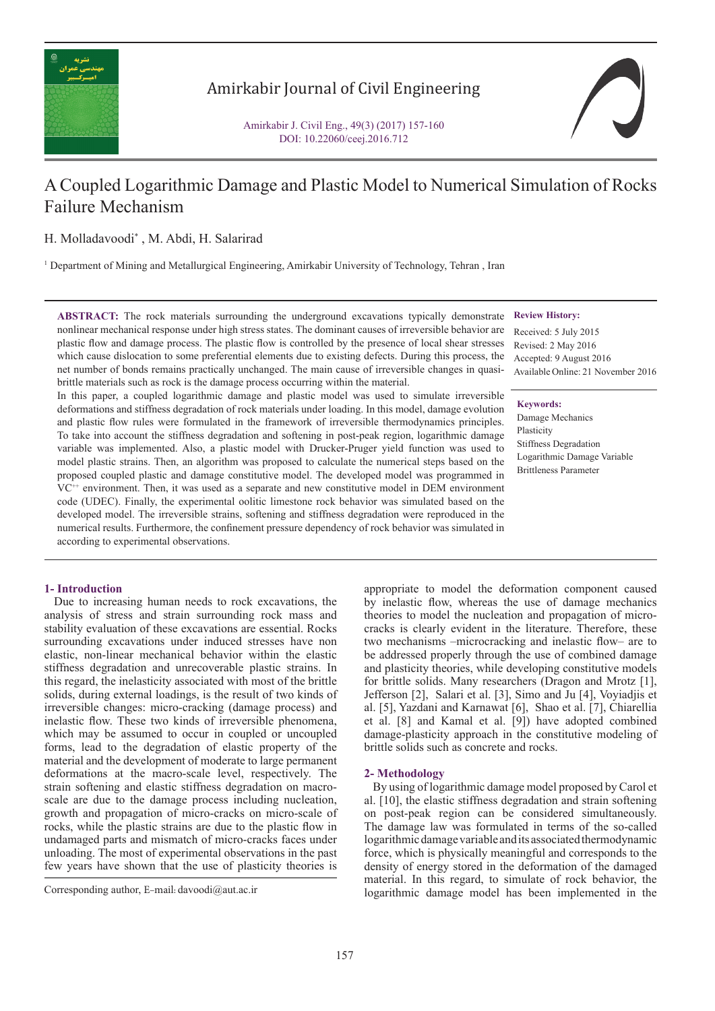

## Amirkabir Journal of Civil Engineering

Amirkabir J. Civil Eng., 49(3) (2017) 157-160 DOI: 10.22060/ceej.2016.712

# A Coupled Logarithmic Damage and Plastic Model to Numerical Simulation of Rocks Failure Mechanism

H. Molladavoodi\* , M. Abdi, H. Salarirad

1 Department of Mining and Metallurgical Engineering, Amirkabir University of Technology, Tehran , Iran

**ABSTRACT:** The rock materials surrounding the underground excavations typically demonstrate nonlinear mechanical response under high stress states. The dominant causes of irreversible behavior are plastic flow and damage process. The plastic flow is controlled by the presence of local shear stresses which cause dislocation to some preferential elements due to existing defects. During this process, the net number of bonds remains practically unchanged. The main cause of irreversible changes in quasibrittle materials such as rock is the damage process occurring within the material.

In this paper, a coupled logarithmic damage and plastic model was used to simulate irreversible deformations and stiffness degradation of rock materials under loading. In this model, damage evolution and plastic flow rules were formulated in the framework of irreversible thermodynamics principles. To take into account the stiffness degradation and softening in post-peak region, logarithmic damage variable was implemented. Also, a plastic model with Drucker-Pruger yield function was used to model plastic strains. Then, an algorithm was proposed to calculate the numerical steps based on the proposed coupled plastic and damage constitutive model. The developed model was programmed in  $VC^{++}$  environment. Then, it was used as a separate and new constitutive model in DEM environment code (UDEC). Finally, the experimental oolitic limestone rock behavior was simulated based on the developed model. The irreversible strains, softening and stiffness degradation were reproduced in the numerical results. Furthermore, the confinement pressure dependency of rock behavior was simulated in according to experimental observations.

## Available Online: 21 November 2016

**Review History:** Received: 5 July 2015 Revised: 2 May 2016 Accepted: 9 August 2016

## **Keywords:**

Damage Mechanics Plasticity Stiffness Degradation Logarithmic Damage Variable Brittleness Parameter

### **1- Introduction**

 Due to increasing human needs to rock excavations, the analysis of stress and strain surrounding rock mass and stability evaluation of these excavations are essential. Rocks surrounding excavations under induced stresses have non elastic, non-linear mechanical behavior within the elastic stiffness degradation and unrecoverable plastic strains. In this regard, the inelasticity associated with most of the brittle solids, during external loadings, is the result of two kinds of irreversible changes: micro-cracking (damage process) and inelastic flow. These two kinds of irreversible phenomena, which may be assumed to occur in coupled or uncoupled forms, lead to the degradation of elastic property of the material and the development of moderate to large permanent deformations at the macro-scale level, respectively. The strain softening and elastic stiffness degradation on macroscale are due to the damage process including nucleation, growth and propagation of micro-cracks on micro-scale of rocks, while the plastic strains are due to the plastic flow in undamaged parts and mismatch of micro-cracks faces under unloading. The most of experimental observations in the past few years have shown that the use of plasticity theories is

theories to model the nucleation and propagation of microcracks is clearly evident in the literature. Therefore, these two mechanisms –microcracking and inelastic flow– are to be addressed properly through the use of combined damage and plasticity theories, while developing constitutive models for brittle solids. Many researchers (Dragon and Mrotz [1], Jefferson [2], Salari et al. [3], Simo and Ju [4], Voyiadjis et al. [5], Yazdani and Karnawat [6], Shao et al. [7], Chiarellia et al. [8] and Kamal et al. [9]) have adopted combined damage-plasticity approach in the constitutive modeling of brittle solids such as concrete and rocks.

appropriate to model the deformation component caused by inelastic flow, whereas the use of damage mechanics

### **2- Methodology**

 By using of logarithmic damage model proposed by Carol et al. [10], the elastic stiffness degradation and strain softening on post-peak region can be considered simultaneously. The damage law was formulated in terms of the so-called logarithmic damage variable and its associated thermodynamic force, which is physically meaningful and corresponds to the density of energy stored in the deformation of the damaged The Corresponding author, E-mail: davoodi@aut.ac.ir<br>
Corresponding author, E-mail: davoodi@aut.ac.ir<br>
Logarithmic damage model has been implemented in the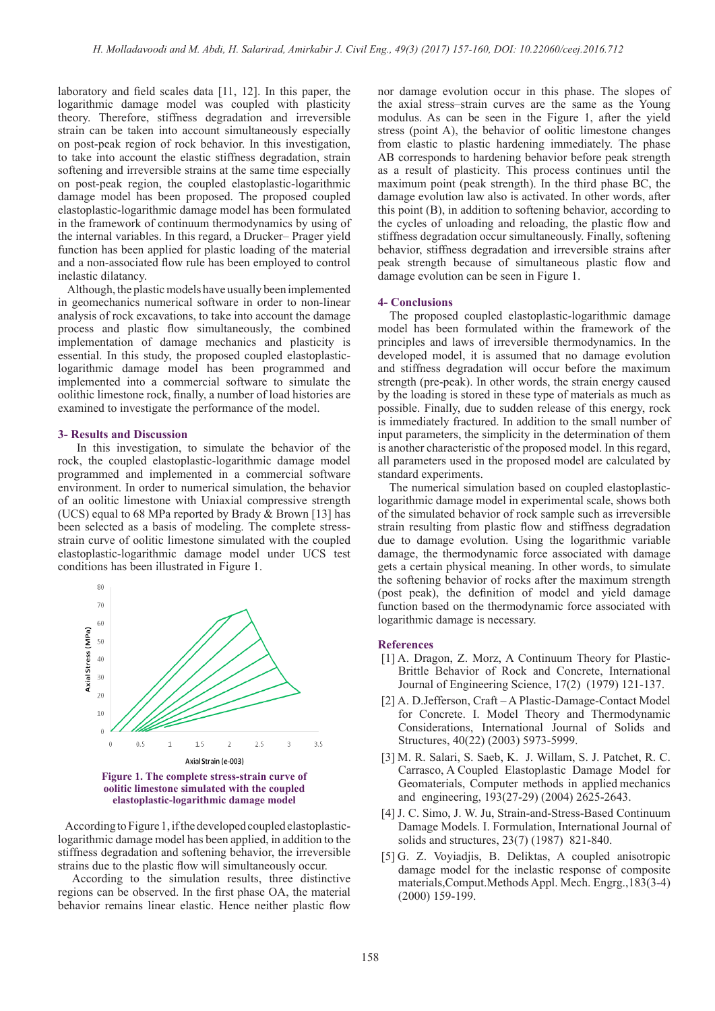laboratory and field scales data [11, 12]. In this paper, the logarithmic damage model was coupled with plasticity theory. Therefore, stiffness degradation and irreversible strain can be taken into account simultaneously especially on post-peak region of rock behavior. In this investigation, to take into account the elastic stiffness degradation, strain softening and irreversible strains at the same time especially on post-peak region, the coupled elastoplastic-logarithmic damage model has been proposed. The proposed coupled elastoplastic-logarithmic damage model has been formulated in the framework of continuum thermodynamics by using of the internal variables. In this regard, a Drucker– Prager yield function has been applied for plastic loading of the material and a non-associated flow rule has been employed to control inelastic dilatancy.

 Although, the plastic models have usually been implemented in geomechanics numerical software in order to non-linear analysis of rock excavations, to take into account the damage process and plastic flow simultaneously, the combined implementation of damage mechanics and plasticity is essential. In this study, the proposed coupled elastoplasticlogarithmic damage model has been programmed and implemented into a commercial software to simulate the oolithic limestone rock, finally, a number of load histories are examined to investigate the performance of the model.

#### **3- Results and Discussion**

 In this investigation, to simulate the behavior of the rock, the coupled elastoplastic-logarithmic damage model programmed and implemented in a commercial software environment. In order to numerical simulation, the behavior of an oolitic limestone with Uniaxial compressive strength (UCS) equal to 68 MPa reported by Brady & Brown [13] has been selected as a basis of modeling. The complete stressstrain curve of oolitic limestone simulated with the coupled elastoplastic-logarithmic damage model under UCS test conditions has been illustrated in Figure 1.



 According to Figure 1, if the developed coupled elastoplasticlogarithmic damage model has been applied, in addition to the stiffness degradation and softening behavior, the irreversible strains due to the plastic flow will simultaneously occur.

 According to the simulation results, three distinctive regions can be observed. In the first phase OA, the material behavior remains linear elastic. Hence neither plastic flow nor damage evolution occur in this phase. The slopes of the axial stress–strain curves are the same as the Young modulus. As can be seen in the Figure 1, after the yield stress (point A), the behavior of oolitic limestone changes from elastic to plastic hardening immediately. The phase AB corresponds to hardening behavior before peak strength as a result of plasticity. This process continues until the maximum point (peak strength). In the third phase BC, the damage evolution law also is activated. In other words, after this point (B), in addition to softening behavior, according to the cycles of unloading and reloading, the plastic flow and stiffness degradation occur simultaneously. Finally, softening behavior, stiffness degradation and irreversible strains after peak strength because of simultaneous plastic flow and damage evolution can be seen in Figure 1.

#### **4- Conclusions**

 The proposed coupled elastoplastic-logarithmic damage model has been formulated within the framework of the principles and laws of irreversible thermodynamics. In the developed model, it is assumed that no damage evolution and stiffness degradation will occur before the maximum strength (pre-peak). In other words, the strain energy caused by the loading is stored in these type of materials as much as possible. Finally, due to sudden release of this energy, rock is immediately fractured. In addition to the small number of input parameters, the simplicity in the determination of them is another characteristic of the proposed model. In this regard, all parameters used in the proposed model are calculated by standard experiments.

 The numerical simulation based on coupled elastoplasticlogarithmic damage model in experimental scale, shows both of the simulated behavior of rock sample such as irreversible strain resulting from plastic flow and stiffness degradation due to damage evolution. Using the logarithmic variable damage, the thermodynamic force associated with damage gets a certain physical meaning. In other words, to simulate the softening behavior of rocks after the maximum strength (post peak), the definition of model and yield damage function based on the thermodynamic force associated with logarithmic damage is necessary.

#### **References**

- [1] A. Dragon, Z. Morz, A Continuum Theory for Plastic-Brittle Behavior of Rock and Concrete, International Journal of Engineering Science, 17(2) (1979) 121-137.
- [2] A. D.Jefferson, Craft A Plastic-Damage-Contact Model for Concrete. I. Model Theory and Thermodynamic Considerations, International Journal of Solids and Structures, 40(22) (2003) 5973-5999.
- [3] M. R. Salari, S. Saeb, K. J. Willam, S. J. Patchet, R. C. Carrasco, A Coupled Elastoplastic Damage Model for Geomaterials, Computer methods in applied mechanics and engineering, 193(27-29) (2004) 2625-2643.
- [4] J. C. Simo, J. W. Ju, Strain-and-Stress-Based Continuum Damage Models. I. Formulation, International Journal of solids and structures, 23(7) (1987) 821-840.
- [5] G. Z. Voyiadjis, B. Deliktas, A coupled anisotropic damage model for the inelastic response of composite materials,Comput.Methods Appl. Mech. Engrg.,183(3-4) (2000) 159-199.